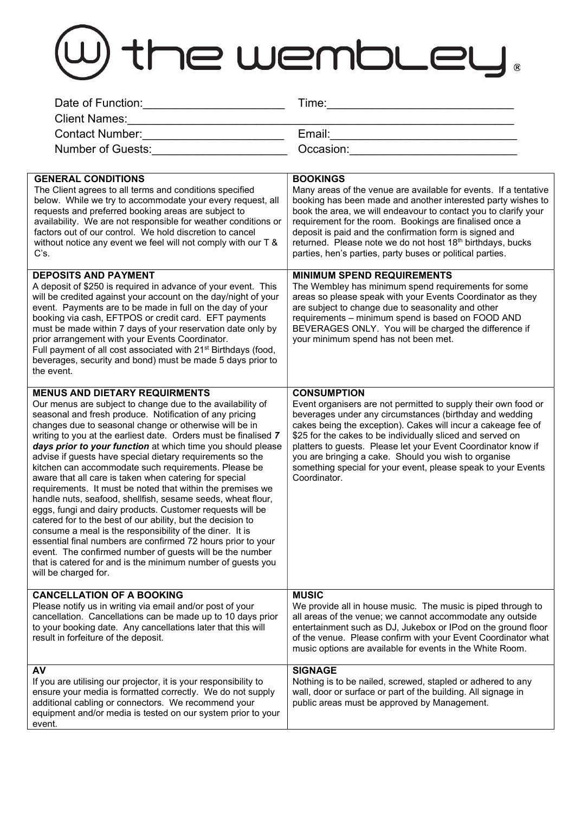## W the wembley.

| Date of Function: Date of Function:                                                                                                                                                                                                                                                                                                                                                                                                                                                                                                                                                                                                                                                                                                                                                                                                                                                                                                                                                                                                                                              | Time:                                                                                                                                                                                                                                                                                                                                                                                                                                                                                    |
|----------------------------------------------------------------------------------------------------------------------------------------------------------------------------------------------------------------------------------------------------------------------------------------------------------------------------------------------------------------------------------------------------------------------------------------------------------------------------------------------------------------------------------------------------------------------------------------------------------------------------------------------------------------------------------------------------------------------------------------------------------------------------------------------------------------------------------------------------------------------------------------------------------------------------------------------------------------------------------------------------------------------------------------------------------------------------------|------------------------------------------------------------------------------------------------------------------------------------------------------------------------------------------------------------------------------------------------------------------------------------------------------------------------------------------------------------------------------------------------------------------------------------------------------------------------------------------|
| <b>Client Names:</b><br><u> 2000 - Jan Barnett, mars et al. (</u>                                                                                                                                                                                                                                                                                                                                                                                                                                                                                                                                                                                                                                                                                                                                                                                                                                                                                                                                                                                                                |                                                                                                                                                                                                                                                                                                                                                                                                                                                                                          |
| Contact Number: ________________________                                                                                                                                                                                                                                                                                                                                                                                                                                                                                                                                                                                                                                                                                                                                                                                                                                                                                                                                                                                                                                         |                                                                                                                                                                                                                                                                                                                                                                                                                                                                                          |
| Number of Guests:                                                                                                                                                                                                                                                                                                                                                                                                                                                                                                                                                                                                                                                                                                                                                                                                                                                                                                                                                                                                                                                                | Occasion: <b>Example 2019</b>                                                                                                                                                                                                                                                                                                                                                                                                                                                            |
| <b>GENERAL CONDITIONS</b><br>The Client agrees to all terms and conditions specified<br>below. While we try to accommodate your every request, all<br>requests and preferred booking areas are subject to<br>availability. We are not responsible for weather conditions or<br>factors out of our control. We hold discretion to cancel<br>without notice any event we feel will not comply with our T &<br>C's.                                                                                                                                                                                                                                                                                                                                                                                                                                                                                                                                                                                                                                                                 | <b>BOOKINGS</b><br>Many areas of the venue are available for events. If a tentative<br>booking has been made and another interested party wishes to<br>book the area, we will endeavour to contact you to clarify your<br>requirement for the room. Bookings are finalised once a<br>deposit is paid and the confirmation form is signed and<br>returned. Please note we do not host 18th birthdays, bucks<br>parties, hen's parties, party buses or political parties.                  |
| <b>DEPOSITS AND PAYMENT</b><br>A deposit of \$250 is required in advance of your event. This<br>will be credited against your account on the day/night of your<br>event. Payments are to be made in full on the day of your<br>booking via cash, EFTPOS or credit card. EFT payments<br>must be made within 7 days of your reservation date only by<br>prior arrangement with your Events Coordinator.<br>Full payment of all cost associated with 21 <sup>st</sup> Birthdays (food,<br>beverages, security and bond) must be made 5 days prior to<br>the event.                                                                                                                                                                                                                                                                                                                                                                                                                                                                                                                 | <b>MINIMUM SPEND REQUIREMENTS</b><br>The Wembley has minimum spend requirements for some<br>areas so please speak with your Events Coordinator as they<br>are subject to change due to seasonality and other<br>requirements - minimum spend is based on FOOD AND<br>BEVERAGES ONLY. You will be charged the difference if<br>your minimum spend has not been met.                                                                                                                       |
| <b>MENUS AND DIETARY REQUIRMENTS</b><br>Our menus are subject to change due to the availability of<br>seasonal and fresh produce. Notification of any pricing<br>changes due to seasonal change or otherwise will be in<br>writing to you at the earliest date. Orders must be finalised 7<br>days prior to your function at which time you should please<br>advise if guests have special dietary requirements so the<br>kitchen can accommodate such requirements. Please be<br>aware that all care is taken when catering for special<br>requirements. It must be noted that within the premises we<br>handle nuts, seafood, shellfish, sesame seeds, wheat flour,<br>eggs, fungi and dairy products. Customer requests will be<br>catered for to the best of our ability, but the decision to<br>consume a meal is the responsibility of the diner. It is<br>essential final numbers are confirmed 72 hours prior to your<br>event. The confirmed number of guests will be the number<br>that is catered for and is the minimum number of guests you<br>will be charged for. | <b>CONSUMPTION</b><br>Event organisers are not permitted to supply their own food or<br>beverages under any circumstances (birthday and wedding<br>cakes being the exception). Cakes will incur a cakeage fee of<br>\$25 for the cakes to be individually sliced and served on<br>platters to guests. Please let your Event Coordinator know if<br>you are bringing a cake. Should you wish to organise<br>something special for your event, please speak to your Events<br>Coordinator. |
| <b>CANCELLATION OF A BOOKING</b><br>Please notify us in writing via email and/or post of your<br>cancellation. Cancellations can be made up to 10 days prior<br>to your booking date. Any cancellations later that this will<br>result in forfeiture of the deposit.                                                                                                                                                                                                                                                                                                                                                                                                                                                                                                                                                                                                                                                                                                                                                                                                             | <b>MUSIC</b><br>We provide all in house music. The music is piped through to<br>all areas of the venue; we cannot accommodate any outside<br>entertainment such as DJ, Jukebox or IPod on the ground floor<br>of the venue. Please confirm with your Event Coordinator what<br>music options are available for events in the White Room.                                                                                                                                                 |
| AV<br>If you are utilising our projector, it is your responsibility to<br>ensure your media is formatted correctly. We do not supply<br>additional cabling or connectors. We recommend your<br>equipment and/or media is tested on our system prior to your<br>event.                                                                                                                                                                                                                                                                                                                                                                                                                                                                                                                                                                                                                                                                                                                                                                                                            | <b>SIGNAGE</b><br>Nothing is to be nailed, screwed, stapled or adhered to any<br>wall, door or surface or part of the building. All signage in<br>public areas must be approved by Management.                                                                                                                                                                                                                                                                                           |